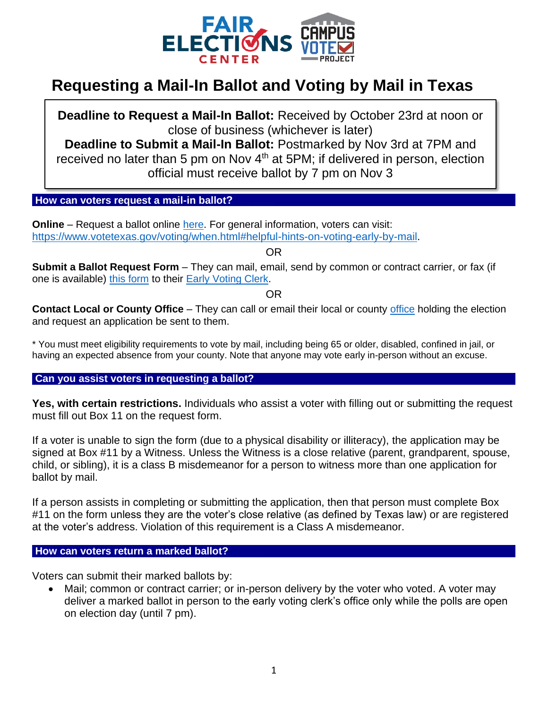

# **Requesting a Mail-In Ballot and Voting by Mail in Texas**

**Deadline to Request a Mail-In Ballot:** Received by October 23rd at noon or close of business (whichever is later)

**Deadline to Submit a Mail-In Ballot:** Postmarked by Nov 3rd at 7PM and received no later than 5 pm on Nov 4<sup>th</sup> at 5PM; if delivered in person, election official must receive ballot by 7 pm on Nov 3

## **How can voters request a mail-in ballot?..............**

**Online** – Request a ballot online [here.](https://bbm.sos.state.tx.us/bbm.asp) For general information, voters can visit: [https://www.votetexas.gov/voting/when.html#helpful-hints-on-voting-early-by-mail.](https://www.votetexas.gov/voting/when.html#helpful-hints-on-voting-early-by-mail)

OR

**Submit a Ballot Request Form** – They can mail, email, send by common or contract carrier, or fax (if one is available) [this form](https://webservices.sos.state.tx.us/forms/5-15f.pdf) to their [Early Voting Clerk.](https://www.sos.state.tx.us/elections/voter/county.shtml)

OR

**Contact Local or County Office** – They can call or email their local or county [office](https://www.sos.texas.gov/elections/voter/county.shtml) holding the election and request an application be sent to them.

\* You must meet eligibility requirements to vote by mail, including being 65 or older, disabled, confined in jail, or having an expected absence from your county. Note that anyone may vote early in-person without an excuse.

## **Can you assist voters in requesting a ballot?**

**Yes, with certain restrictions.** Individuals who assist a voter with filling out or submitting the request must fill out Box 11 on the request form.

If a voter is unable to sign the form (due to a physical disability or illiteracy), the application may be signed at Box #11 by a Witness. Unless the Witness is a close relative (parent, grandparent, spouse, child, or sibling), it is a class B misdemeanor for a person to witness more than one application for ballot by mail.

If a person assists in completing or submitting the application, then that person must complete Box #11 on the form unless they are the voter's close relative (as defined by Texas law) or are registered at the voter's address. Violation of this requirement is a Class A misdemeanor.

### **How can voters return a marked ballot?**

Voters can submit their marked ballots by:

• Mail; common or contract carrier; or in-person delivery by the voter who voted. A voter may deliver a marked ballot in person to the early voting clerk's office only while the polls are open on election day (until 7 pm).